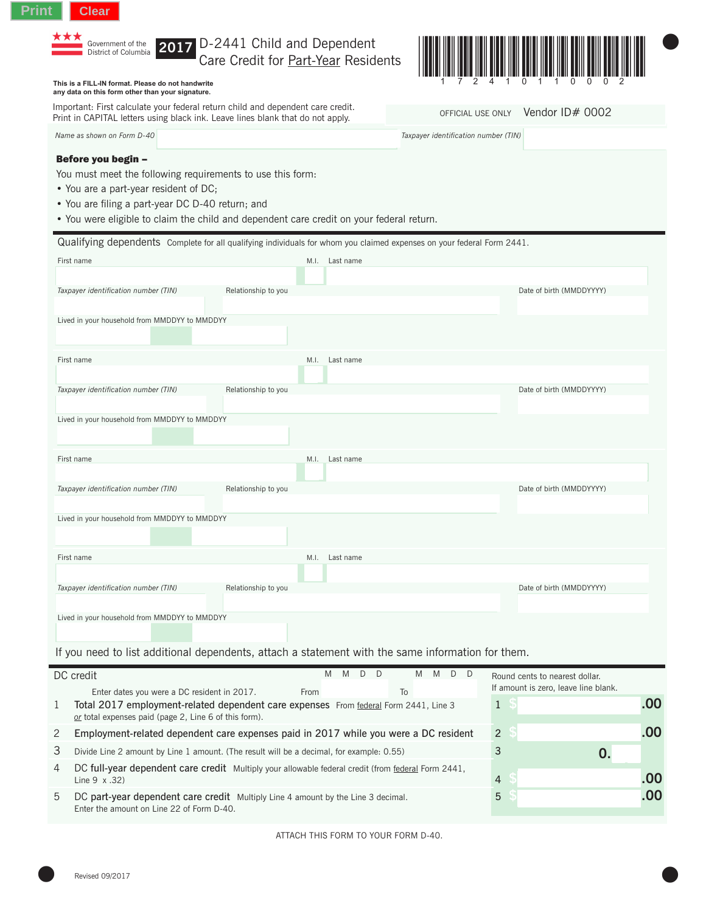# **Print Clear**

**2017** District of Columbia

## D-2441 Child and Dependent Care Credit for Part-Year Residents



### **This is a FILL-IN format. Please do not handwrite any data on this form other than your signature.**

Important: First calculate your federal return child and dependent care credit. Print in CAPITAL letters using black ink. Leave lines blank that do not apply.

*Name as shown on Form D-40 Taxpayer identification number (TIN)*

OFFICIAL USE ONLY Vendor ID# 0002

#### Before you begin –

You must meet the following requirements to use this form:

- You are a part-year resident of DC;
- You are filing a part-year DC D-40 return; and
- You were eligible to claim the child and dependent care credit on your federal return.

| Qualifying dependents Complete for all qualifying individuals for whom you claimed expenses on your federal Form 2441. |                     |      |                                                                                                   |                          |  |  |
|------------------------------------------------------------------------------------------------------------------------|---------------------|------|---------------------------------------------------------------------------------------------------|--------------------------|--|--|
| First name                                                                                                             |                     |      | M.I. Last name                                                                                    |                          |  |  |
|                                                                                                                        |                     |      |                                                                                                   |                          |  |  |
| Taxpayer identification number (TIN)                                                                                   | Relationship to you |      |                                                                                                   | Date of birth (MMDDYYYY) |  |  |
|                                                                                                                        |                     |      |                                                                                                   |                          |  |  |
| Lived in your household from MMDDYY to MMDDYY                                                                          |                     |      |                                                                                                   |                          |  |  |
|                                                                                                                        |                     |      |                                                                                                   |                          |  |  |
|                                                                                                                        |                     |      |                                                                                                   |                          |  |  |
| First name                                                                                                             |                     | M.I. | Last name                                                                                         |                          |  |  |
|                                                                                                                        |                     |      |                                                                                                   |                          |  |  |
| Taxpayer identification number (TIN)                                                                                   | Relationship to you |      |                                                                                                   | Date of birth (MMDDYYYY) |  |  |
|                                                                                                                        |                     |      |                                                                                                   |                          |  |  |
| Lived in your household from MMDDYY to MMDDYY                                                                          |                     |      |                                                                                                   |                          |  |  |
|                                                                                                                        |                     |      |                                                                                                   |                          |  |  |
| First name                                                                                                             |                     | M.I. | Last name                                                                                         |                          |  |  |
|                                                                                                                        |                     |      |                                                                                                   |                          |  |  |
| Taxpayer identification number (TIN)                                                                                   | Relationship to you |      |                                                                                                   | Date of birth (MMDDYYYY) |  |  |
|                                                                                                                        |                     |      |                                                                                                   |                          |  |  |
| Lived in your household from MMDDYY to MMDDYY                                                                          |                     |      |                                                                                                   |                          |  |  |
|                                                                                                                        |                     |      |                                                                                                   |                          |  |  |
|                                                                                                                        |                     |      |                                                                                                   |                          |  |  |
| First name                                                                                                             |                     |      | M.I. Last name                                                                                    |                          |  |  |
|                                                                                                                        |                     |      |                                                                                                   |                          |  |  |
| Taxpayer identification number (TIN)                                                                                   | Relationship to you |      |                                                                                                   | Date of birth (MMDDYYYY) |  |  |
|                                                                                                                        |                     |      |                                                                                                   |                          |  |  |
| Lived in your household from MMDDYY to MMDDYY                                                                          |                     |      |                                                                                                   |                          |  |  |
|                                                                                                                        |                     |      |                                                                                                   |                          |  |  |
|                                                                                                                        |                     |      |                                                                                                   |                          |  |  |
|                                                                                                                        |                     |      | If you need to list additional dependents, attach a statement with the same information for them. |                          |  |  |

|   | DC credit                                                                                                                                     | M |  | D D |    |  | M M D D        |   |  | Round cents to nearest dollar.<br>If amount is zero, leave line blank. |    |
|---|-----------------------------------------------------------------------------------------------------------------------------------------------|---|--|-----|----|--|----------------|---|--|------------------------------------------------------------------------|----|
|   | Enter dates you were a DC resident in 2017.<br>From                                                                                           |   |  |     | To |  |                |   |  |                                                                        |    |
|   | Total 2017 employment-related dependent care expenses From federal Form 2441, Line 3<br>or total expenses paid (page 2, Line 6 of this form). |   |  |     |    |  |                |   |  |                                                                        |    |
| 2 | Employment-related dependent care expenses paid in 2017 while you were a DC resident                                                          |   |  |     |    |  | 2              |   |  |                                                                        |    |
| 3 | Divide Line 2 amount by Line 1 amount. (The result will be a decimal, for example: 0.55)                                                      |   |  |     |    |  |                | 3 |  |                                                                        |    |
| 4 | DC full-year dependent care credit Multiply your allowable federal credit (from federal Form 2441,<br>Line $9 \times .32$ )                   |   |  |     |    |  | $\overline{4}$ |   |  |                                                                        |    |
| 5 | DC part-year dependent care credit Multiply Line 4 amount by the Line 3 decimal.<br>Enter the amount on Line 22 of Form D-40.                 |   |  |     |    |  |                |   |  | 5                                                                      | 00 |

ATTACH THIS FORM TO YOUR FORM D-40.